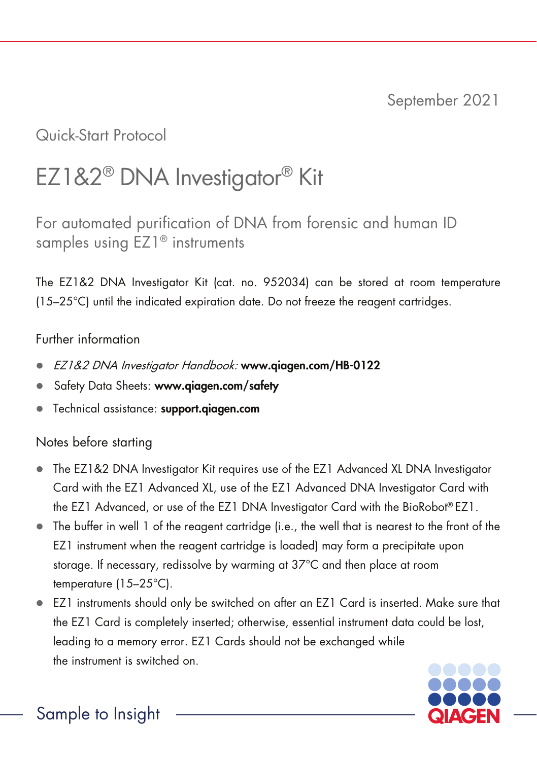Quick-Start Protocol

# EZ1&2® DNA Investigator® Kit

For automated purification of DNA from forensic and human ID samples using EZ1<sup>®</sup> instruments

The EZ1&2 DNA Investigator Kit (cat. no. 952034) can be stored at room temperature (15–25°C) until the indicated expiration date. Do not freeze the reagent cartridges.

### Further information

- EZ1&2 DNA Investigator Handbook: www.qiagen.com/HB-0122
- Safety Data Sheets: www.qiagen.com/safety
- Technical assistance: support.qiagen.com

## Notes before starting

- The EZ1&2 DNA Investigator Kit requires use of the EZ1 Advanced XL DNA Investigator Card with the EZ1 Advanced XL, use of the EZ1 Advanced DNA Investigator Card with the EZ1 Advanced, or use of the EZ1 DNA Investigator Card with the BioRobot® EZ1.
- The buffer in well 1 of the reagent cartridge (i.e., the well that is nearest to the front of the EZ1 instrument when the reagent cartridge is loaded) may form a precipitate upon storage. If necessary, redissolve by warming at 37°C and then place at room temperature (15–25°C).
- EZ1 instruments should only be switched on after an EZ1 Card is inserted. Make sure that the EZ1 Card is completely inserted; otherwise, essential instrument data could be lost, leading to a memory error. EZ1 Cards should not be exchanged while the instrument is switched on.



Sample to Insight